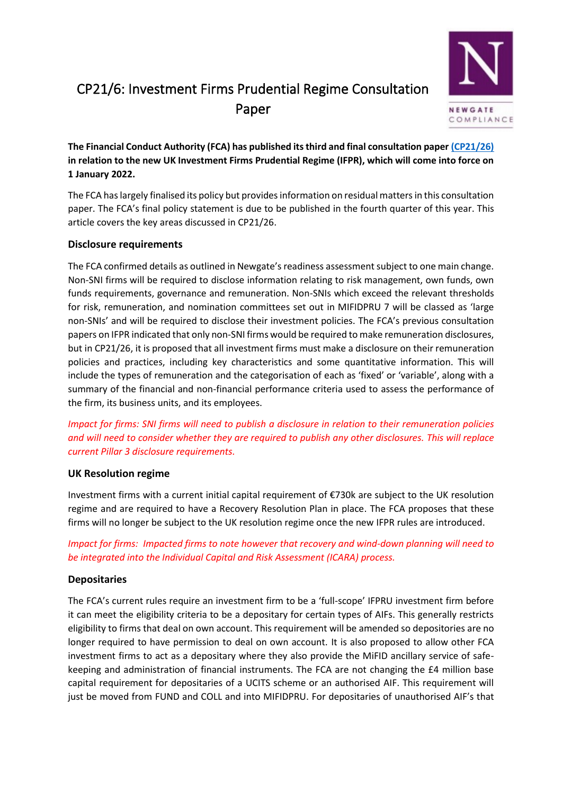# CP21/6: Investment Firms Prudential Regime Consultation Paper



**The Financial Conduct Authority (FCA) has published its third and final consultation pape[r \(CP21/26\)](https://www.fca.org.uk/publication/consultation/cp21-26.pdf) in relation to the new UK Investment Firms Prudential Regime (IFPR), which will come into force on 1 January 2022.** 

The FCA has largely finalised its policy but provides information on residual matters in this consultation paper. The FCA's final policy statement is due to be published in the fourth quarter of this year. This article covers the key areas discussed in CP21/26.

## **Disclosure requirements**

The FCA confirmed details as outlined in Newgate's readiness assessment subject to one main change. Non-SNI firms will be required to disclose information relating to risk management, own funds, own funds requirements, governance and remuneration. Non-SNIs which exceed the relevant thresholds for risk, remuneration, and nomination committees set out in MIFIDPRU 7 will be classed as 'large non-SNIs' and will be required to disclose their investment policies. The FCA's previous consultation papers on IFPR indicated that only non-SNI firms would be required to make remuneration disclosures, but in CP21/26, it is proposed that all investment firms must make a disclosure on their remuneration policies and practices, including key characteristics and some quantitative information. This will include the types of remuneration and the categorisation of each as 'fixed' or 'variable', along with a summary of the financial and non-financial performance criteria used to assess the performance of the firm, its business units, and its employees.

*Impact for firms: SNI firms will need to publish a disclosure in relation to their remuneration policies and will need to consider whether they are required to publish any other disclosures. This will replace current Pillar 3 disclosure requirements.*

## **UK Resolution regime**

Investment firms with a current initial capital requirement of €730k are subject to the UK resolution regime and are required to have a Recovery Resolution Plan in place. The FCA proposes that these firms will no longer be subject to the UK resolution regime once the new IFPR rules are introduced.

*Impact for firms: Impacted firms to note however that recovery and wind-down planning will need to be integrated into the Individual Capital and Risk Assessment (ICARA) process.* 

# **Depositaries**

The FCA's current rules require an investment firm to be a 'full-scope' IFPRU investment firm before it can meet the eligibility criteria to be a depositary for certain types of AIFs. This generally restricts eligibility to firms that deal on own account. This requirement will be amended so depositories are no longer required to have permission to deal on own account. It is also proposed to allow other FCA investment firms to act as a depositary where they also provide the MiFID ancillary service of safekeeping and administration of financial instruments. The FCA are not changing the £4 million base capital requirement for depositaries of a UCITS scheme or an authorised AIF. This requirement will just be moved from FUND and COLL and into MIFIDPRU. For depositaries of unauthorised AIF's that